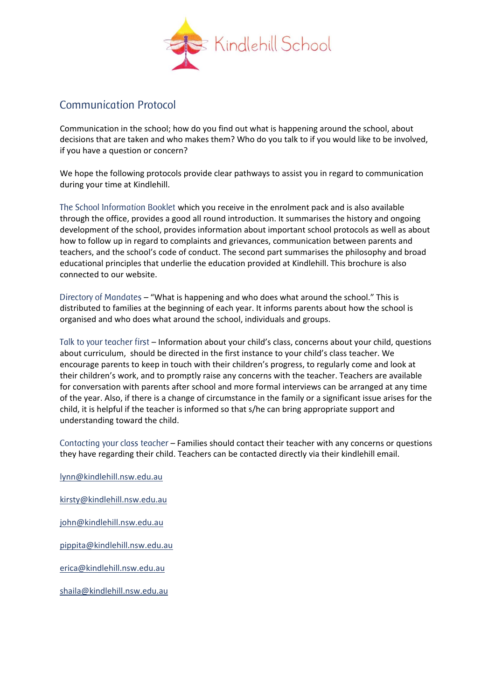

## Communication Protocol

Communication in the school; how do you find out what is happening around the school, about decisions that are taken and who makes them? Who do you talk to if you would like to be involved, if you have a question or concern?

We hope the following protocols provide clear pathways to assist you in regard to communication during your time at Kindlehill.

The School Information Booklet which you receive in the enrolment pack and is also available through the office, provides a good all round introduction. It summarises the history and ongoing development of the school, provides information about important school protocols as well as about how to follow up in regard to complaints and grievances, communication between parents and teachers, and the school's code of conduct. The second part summarises the philosophy and broad educational principles that underlie the education provided at Kindlehill. This brochure is also connected to our website.

Directory of Mandates – "What is happening and who does what around the school." This is distributed to families at the beginning of each year. It informs parents about how the school is organised and who does what around the school, individuals and groups.

Talk to your teacher first – Information about your child's class, concerns about your child, questions about curriculum, should be directed in the first instance to your child's class teacher. We encourage parents to keep in touch with their children's progress, to regularly come and look at their children's work, and to promptly raise any concerns with the teacher. Teachers are available for conversation with parents after school and more formal interviews can be arranged at any time of the year. Also, if there is a change of circumstance in the family or a significant issue arises for the child, it is helpful if the teacher is informed so that s/he can bring appropriate support and understanding toward the child.

Contacting your class teacher – Families should contact their teacher with any concerns or questions they have regarding their child. Teachers can be contacted directly via their kindlehill email.

[lynn@kindlehill.nsw.edu.au](mailto:lynn@kindlehill.nsw.edu.au) [kirsty@kindlehill.nsw.edu.au](mailto:kirsty@kindlehill.nsw.edu.au) [john@kindlehill.nsw.edu.au](mailto:john@kindlehill.nsw.edu.au) [pippita@kindlehill.nsw.edu.au](mailto:pippita@kindlehill.nsw.edu.au) [erica@kindlehill.nsw.edu.au](mailto:erica@kindlehill.nsw.edu.au) [shaila@kindlehill.nsw.edu.au](mailto:shaila@kindlehill.nsw.edu.au)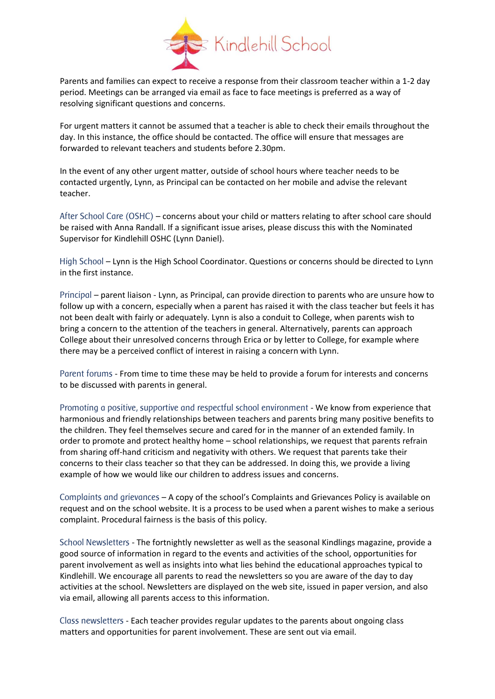

Parents and families can expect to receive a response from their classroom teacher within a 1-2 day period. Meetings can be arranged via email as face to face meetings is preferred as a way of resolving significant questions and concerns.

For urgent matters it cannot be assumed that a teacher is able to check their emails throughout the day. In this instance, the office should be contacted. The office will ensure that messages are forwarded to relevant teachers and students before 2.30pm.

In the event of any other urgent matter, outside of school hours where teacher needs to be contacted urgently, Lynn, as Principal can be contacted on her mobile and advise the relevant teacher.

After School Care (OSHC) – concerns about your child or matters relating to after school care should be raised with Anna Randall. If a significant issue arises, please discuss this with the Nominated Supervisor for Kindlehill OSHC (Lynn Daniel).

High School – Lynn is the High School Coordinator. Questions or concerns should be directed to Lynn in the first instance.

Principal – parent liaison - Lynn, as Principal, can provide direction to parents who are unsure how to follow up with a concern, especially when a parent has raised it with the class teacher but feels it has not been dealt with fairly or adequately. Lynn is also a conduit to College, when parents wish to bring a concern to the attention of the teachers in general. Alternatively, parents can approach College about their unresolved concerns through Erica or by letter to College, for example where there may be a perceived conflict of interest in raising a concern with Lynn.

Parent forums - From time to time these may be held to provide a forum for interests and concerns to be discussed with parents in general.

Promoting a positive, supportive and respectful school environment - We know from experience that harmonious and friendly relationships between teachers and parents bring many positive benefits to the children. They feel themselves secure and cared for in the manner of an extended family. In order to promote and protect healthy home – school relationships, we request that parents refrain from sharing off-hand criticism and negativity with others. We request that parents take their concerns to their class teacher so that they can be addressed. In doing this, we provide a living example of how we would like our children to address issues and concerns.

Complaints and grievances – A copy of the school's Complaints and Grievances Policy is available on request and on the school website. It is a process to be used when a parent wishes to make a serious complaint. Procedural fairness is the basis of this policy.

School Newsletters - The fortnightly newsletter as well as the seasonal Kindlings magazine, provide a good source of information in regard to the events and activities of the school, opportunities for parent involvement as well as insights into what lies behind the educational approaches typical to Kindlehill. We encourage all parents to read the newsletters so you are aware of the day to day activities at the school. Newsletters are displayed on the web site, issued in paper version, and also via email, allowing all parents access to this information.

Class newsletters - Each teacher provides regular updates to the parents about ongoing class matters and opportunities for parent involvement. These are sent out via email.